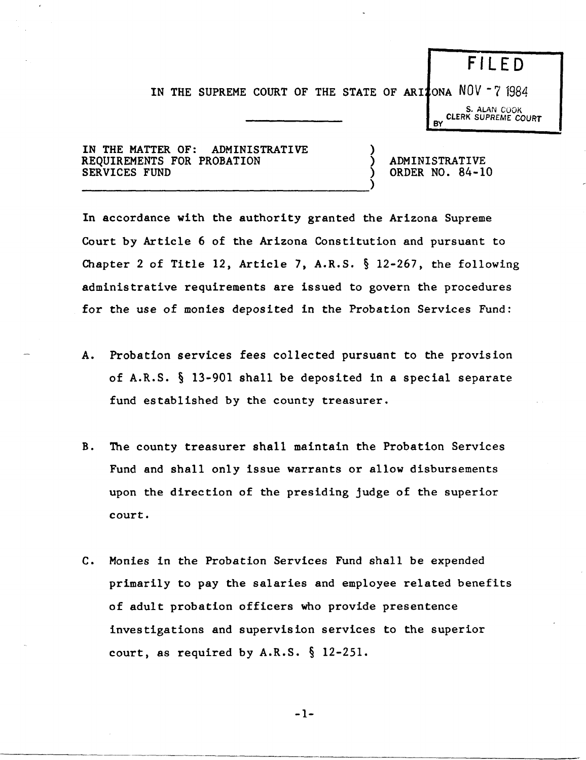## F I LED

IN THE SUPREME COURT OF THE STATE OF ARIZONA NOV  $-7$  1984

)

~

S. ALAN COOK CLERK SUPREME COURT

IN THE MATTER OF: ADMINISTRATIVE REQUIREMENTS FOR PROBATION SERVICES FUND

-------------------------------------)

ADMINISTRATIVE ORDER NO. 84-10

In accordance with the authority granted the Arizona Supreme Court by Article 6 of the Arizona Constitution and pursuant to Chapter 2 of Title 12, Article 7, A.R.S. § 12-267, the following administrative requirements are issued to govern the procedures for the use of monies deposited in the Probation Services Fund:

- A. Probation services fees collected pursuant to the provision of A.R.S. § 13-901 shall be deposited in a special separate fund established by the county treasurer.
- B. The county treasurer shall maintain the Probation Services Fund and shall only issue warrants or allow disbursements upon the direction of the presiding judge of the superior court.
- c. Monies in the Probation Services Fund shall be expended primarily to pay the salaries and employee related benefits of adult probation officers who provide presentence investigations and supervision services to the superior court, as required by A.R.S. § 12-251.

$$
-1-
$$